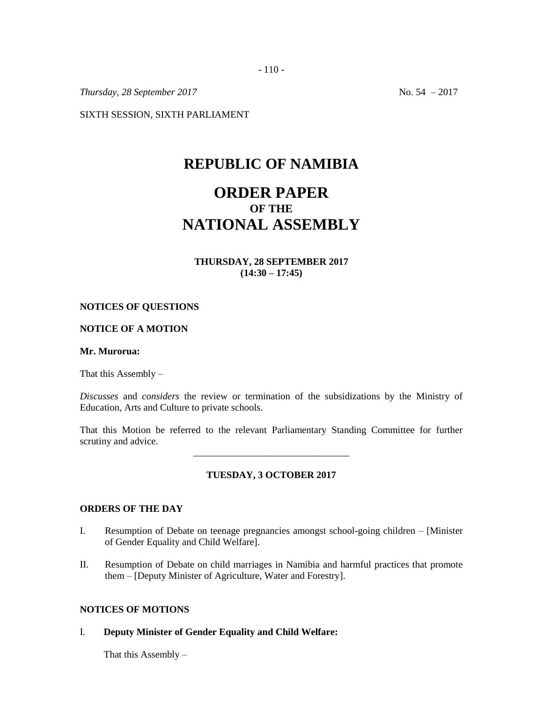*Thursday, 28 September 2017* No. 54 – 2017

SIXTH SESSION, SIXTH PARLIAMENT

## **REPUBLIC OF NAMIBIA**

# **ORDER PAPER OF THE NATIONAL ASSEMBLY**

**THURSDAY, 28 SEPTEMBER 2017 (14:30 – 17:45)**

### **NOTICES OF QUESTIONS**

## **NOTICE OF A MOTION**

#### **Mr. Murorua:**

That this Assembly  $-$ 

*Discusses* and *considers* the review or termination of the subsidizations by the Ministry of Education, Arts and Culture to private schools.

That this Motion be referred to the relevant Parliamentary Standing Committee for further scrutiny and advice. \_\_\_\_\_\_\_\_\_\_\_\_\_\_\_\_\_\_\_\_\_\_\_\_\_\_\_\_\_\_\_\_

## **TUESDAY, 3 OCTOBER 2017**

## **ORDERS OF THE DAY**

- I. Resumption of Debate on teenage pregnancies amongst school-going children [Minister of Gender Equality and Child Welfare].
- II. Resumption of Debate on child marriages in Namibia and harmful practices that promote them – [Deputy Minister of Agriculture, Water and Forestry].

## **NOTICES OF MOTIONS**

I. **Deputy Minister of Gender Equality and Child Welfare:**

That this Assembly –